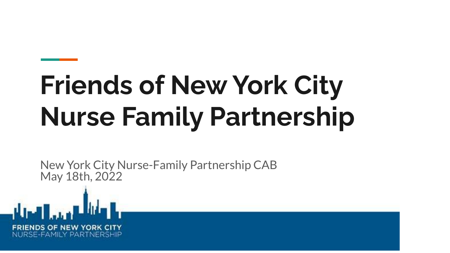# **Friends of New York City Nurse Family Partnership**

New York City Nurse-Family Partnership CAB May 18th, 2022

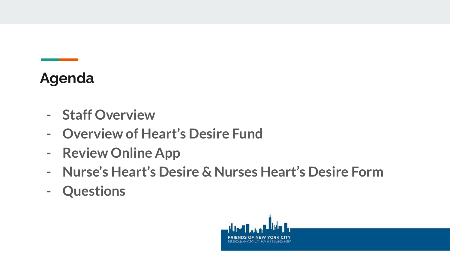## **Agenda**

- **- Staff Overview**
- **- Overview of Heart's Desire Fund**
- **- Review Online App**
- **- Nurse's Heart's Desire & Nurses Heart's Desire Form**
- **- Questions**

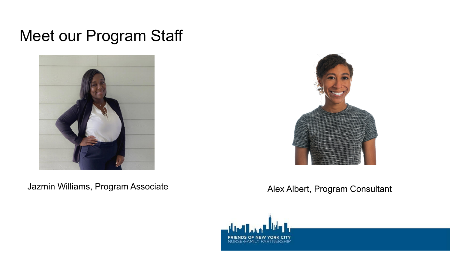#### Meet our Program Staff



Jazmin Williams, Program Associate **Alex Albert, Program Consultant** 



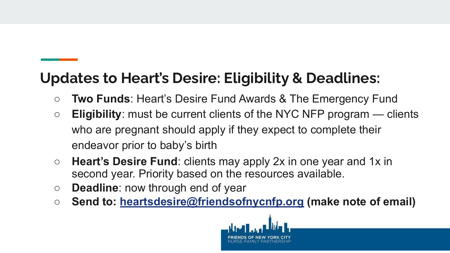### **Updates to Heart's Desire: Eligibility & Deadlines:**

- **Two Funds**: Heart's Desire Fund Awards & The Emergency Fund
- **Eligibility**: must be current clients of the NYC NFP program clients who are pregnant should apply if they expect to complete their endeavor prior to baby's birth
- **Heart's Desire Fund**: clients may apply 2x in one year and 1x in second year. Priority based on the resources available.
- **Deadline**: now through end of year
- **Send to: [heartsdesire@friendsofnycnfp.org](mailto:heartsdesire@friendsofnycnfp.org) (make note of email)**

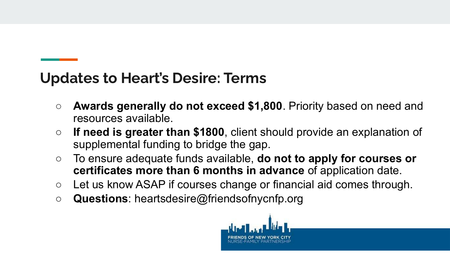#### **Updates to Heart's Desire: Terms**

- **Awards generally do not exceed \$1,800**. Priority based on need and resources available.
- **If need is greater than \$1800**, client should provide an explanation of supplemental funding to bridge the gap.
- To ensure adequate funds available, **do not to apply for courses or certificates more than 6 months in advance** of application date.
- Let us know ASAP if courses change or financial aid comes through.
- **Questions**: heartsdesire@friendsofnycnfp.org

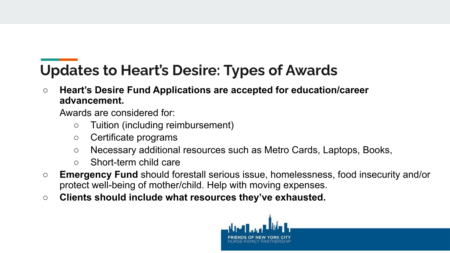# **Updates to Heart's Desire: Types of Awards**

**○ Heart's Desire Fund Applications are accepted for education/career advancement.** 

Awards are considered for:

- Tuition (including reimbursement)
- Certificate programs
- Necessary additional resources such as Metro Cards, Laptops, Books,
- Short-term child care
- **Emergency Fund** should forestall serious issue, homelessness, food insecurity and/or protect well-being of mother/child. Help with moving expenses.
- **Clients should include what resources they've exhausted.**

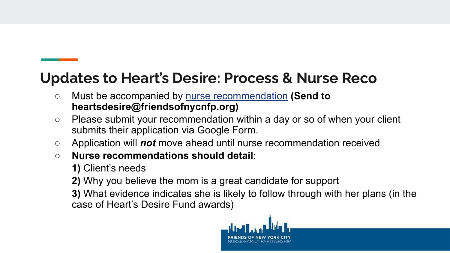#### **Updates to Heart's Desire: Process & Nurse Reco**

- Must be accompanied by [nurse recommendation](https://acrobat.adobe.com/link/review?uri=urn:aaid:scds:US:8066c01a-59a1-4bce-acd1-a13fd43d105b) **(Send to heartsdesire@friendsofnycnfp.org)**
- Please submit your recommendation within a day or so of when your client submits their application via Google Form.
- Application will *not* move ahead until nurse recommendation received
- **Nurse recommendations should detail**:
	- **1)** Client's needs
	- **2)** Why you believe the mom is a great candidate for support
	- **3)** What evidence indicates she is likely to follow through with her plans (in the case of Heart's Desire Fund awards)

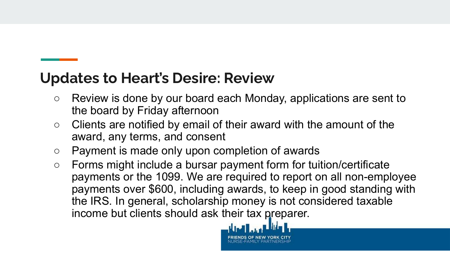#### **Updates to Heart's Desire: Review**

- Review is done by our board each Monday, applications are sent to the board by Friday afternoon
- Clients are notified by email of their award with the amount of the award, any terms, and consent
- Payment is made only upon completion of awards
- Forms might include a bursar payment form for tuition/certificate payments or the 1099. We are required to report on all non-employee payments over \$600, including awards, to keep in good standing with the IRS. In general, scholarship money is not considered taxable income but clients should ask their tax preparer.

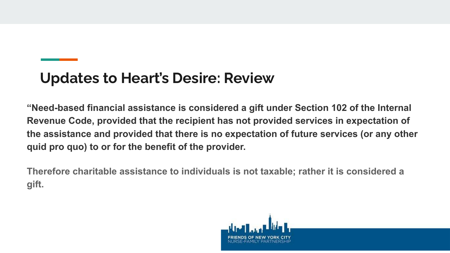#### **Updates to Heart's Desire: Review**

**"Need-based financial assistance is considered a gift under Section 102 of the Internal Revenue Code, provided that the recipient has not provided services in expectation of the assistance and provided that there is no expectation of future services (or any other quid pro quo) to or for the benefit of the provider.**

**Therefore charitable assistance to individuals is not taxable; rather it is considered a gift.**

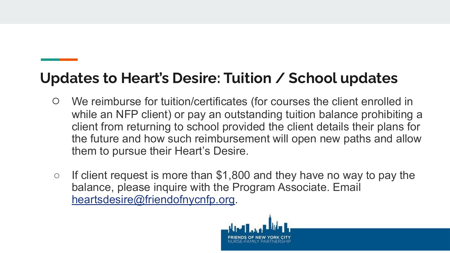### **Updates to Heart's Desire: Tuition / School updates**

- We reimburse for tuition/certificates (for courses the client enrolled in while an NFP client) or pay an outstanding tuition balance prohibiting a client from returning to school provided the client details their plans for the future and how such reimbursement will open new paths and allow them to pursue their Heart's Desire.
- $\circ$  If client request is more than \$1,800 and they have no way to pay the balance, please inquire with the Program Associate. Email [heartsdesire@friendofnycnfp.org](mailto:heartsdesire@friendofnycnfp.org).

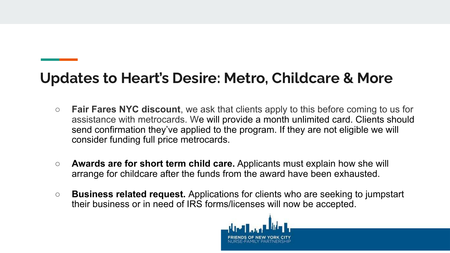#### **Updates to Heart's Desire: Metro, Childcare & More**

- **Fair Fares NYC discount**, we ask that clients apply to this before coming to us for assistance with metrocards. We will provide a month unlimited card. Clients should send confirmation they've applied to the program. If they are not eligible we will consider funding full price metrocards.
- **Awards are for short term child care.** Applicants must explain how she will arrange for childcare after the funds from the award have been exhausted.
- **○ Business related request.** Applications for clients who are seeking to jumpstart their business or in need of IRS forms/licenses will now be accepted.

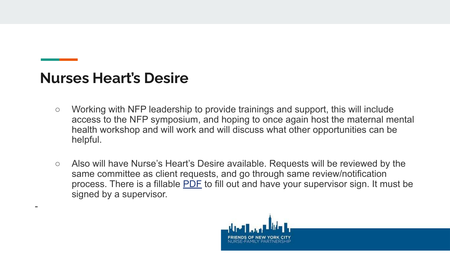#### **Nurses Heart's Desire**

-

- Working with NFP leadership to provide trainings and support, this will include access to the NFP symposium, and hoping to once again host the maternal mental health workshop and will work and will discuss what other opportunities can be helpful.
- Also will have Nurse's Heart's Desire available. Requests will be reviewed by the same committee as client requests, and go through same review/notification process. There is a fillable [PDF](https://acrobat.adobe.com/link/review?uri=urn:aaid:scds:US:1b6bf5f6-5d53-40d2-b9a8-489afb1c3448) to fill out and have your supervisor sign. It must be signed by a supervisor.

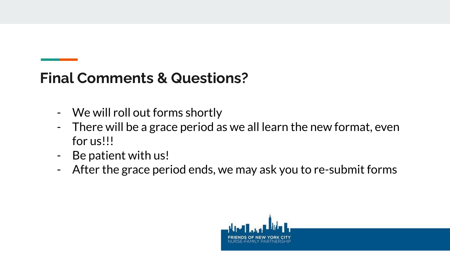#### **Final Comments & Questions?**

- We will roll out forms shortly
- There will be a grace period as we all learn the new format, even for us!!!
- Be patient with us!
- After the grace period ends, we may ask you to re-submit forms